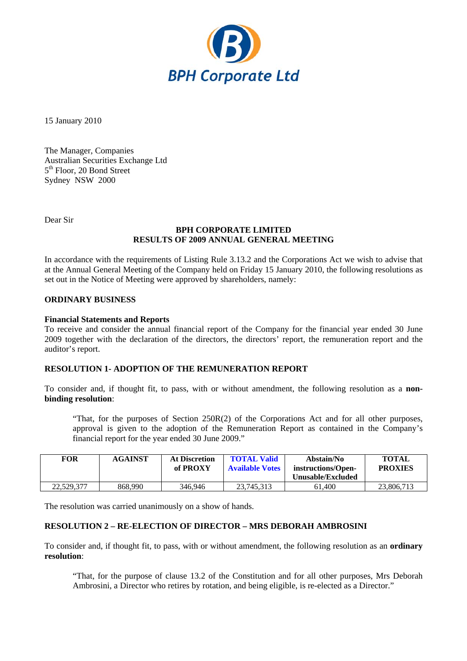

15 January 2010

The Manager, Companies Australian Securities Exchange Ltd 5<sup>th</sup> Floor, 20 Bond Street Sydney NSW 2000

Dear Sir

### **BPH CORPORATE LIMITED RESULTS OF 2009 ANNUAL GENERAL MEETING**

In accordance with the requirements of Listing Rule 3.13.2 and the Corporations Act we wish to advise that at the Annual General Meeting of the Company held on Friday 15 January 2010, the following resolutions as set out in the Notice of Meeting were approved by shareholders, namely:

## **ORDINARY BUSINESS**

## **Financial Statements and Reports**

To receive and consider the annual financial report of the Company for the financial year ended 30 June 2009 together with the declaration of the directors, the directors' report, the remuneration report and the auditor's report.

# **RESOLUTION 1- ADOPTION OF THE REMUNERATION REPORT**

To consider and, if thought fit, to pass, with or without amendment, the following resolution as a **nonbinding resolution**:

"That, for the purposes of Section 250R(2) of the Corporations Act and for all other purposes, approval is given to the adoption of the Remuneration Report as contained in the Company's financial report for the year ended 30 June 2009."

| <b>FOR</b> | <b>AGAINST</b> | <b>At Discretion</b><br>of PROXY | <b>TOTAL Valid</b><br><b>Available Votes</b> | Abstain/No<br>instructions/Open-<br>Unusable/Excluded | <b>TOTAL</b><br><b>PROXIES</b> |
|------------|----------------|----------------------------------|----------------------------------------------|-------------------------------------------------------|--------------------------------|
| 22,529,377 | 868,990        | 346.946                          | 23.745.313                                   | 61.400                                                | 23,806,713                     |

The resolution was carried unanimously on a show of hands.

## **RESOLUTION 2 – RE-ELECTION OF DIRECTOR – MRS DEBORAH AMBROSINI**

To consider and, if thought fit, to pass, with or without amendment, the following resolution as an **ordinary resolution**:

"That, for the purpose of clause 13.2 of the Constitution and for all other purposes, Mrs Deborah Ambrosini, a Director who retires by rotation, and being eligible, is re-elected as a Director."